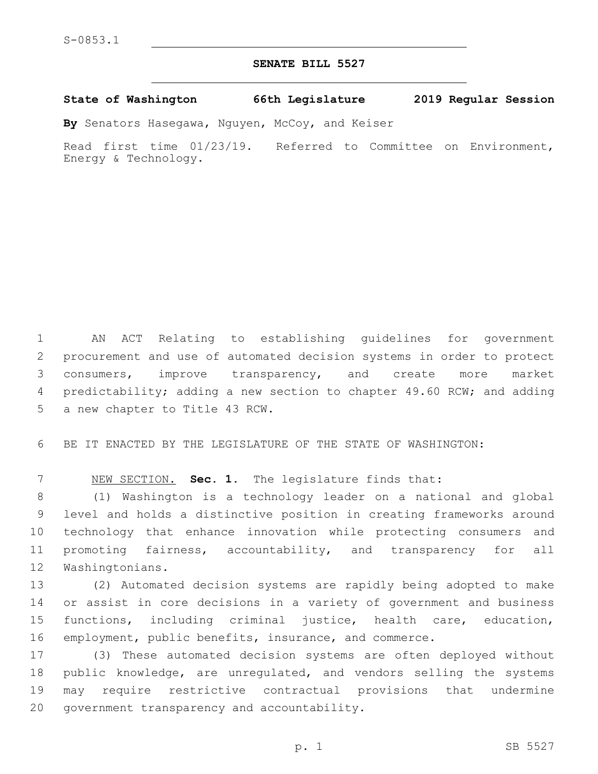## **SENATE BILL 5527**

**State of Washington 66th Legislature 2019 Regular Session**

**By** Senators Hasegawa, Nguyen, McCoy, and Keiser

Read first time 01/23/19. Referred to Committee on Environment, Energy & Technology.

 AN ACT Relating to establishing guidelines for government procurement and use of automated decision systems in order to protect consumers, improve transparency, and create more market predictability; adding a new section to chapter 49.60 RCW; and adding 5 a new chapter to Title 43 RCW.

BE IT ENACTED BY THE LEGISLATURE OF THE STATE OF WASHINGTON:

NEW SECTION. **Sec. 1.** The legislature finds that:

 (1) Washington is a technology leader on a national and global level and holds a distinctive position in creating frameworks around technology that enhance innovation while protecting consumers and promoting fairness, accountability, and transparency for all 12 Washingtonians.

 (2) Automated decision systems are rapidly being adopted to make or assist in core decisions in a variety of government and business functions, including criminal justice, health care, education, employment, public benefits, insurance, and commerce.

 (3) These automated decision systems are often deployed without public knowledge, are unregulated, and vendors selling the systems may require restrictive contractual provisions that undermine 20 government transparency and accountability.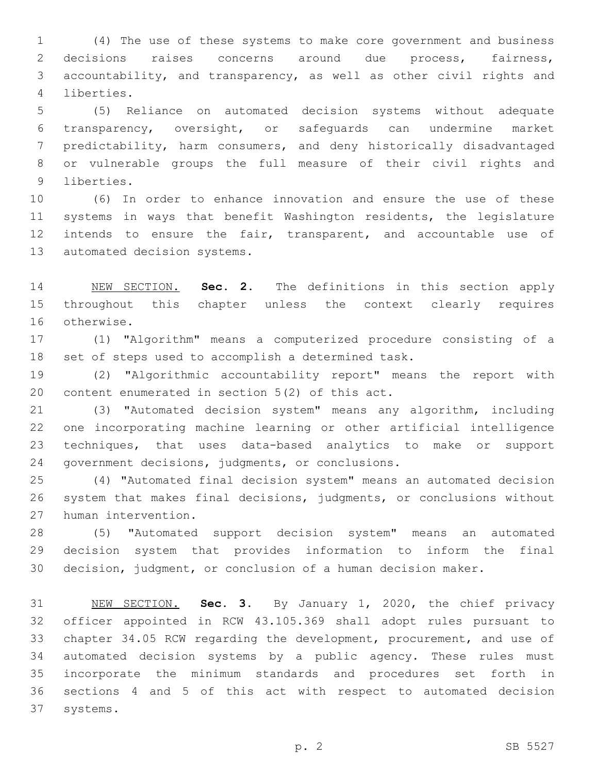(4) The use of these systems to make core government and business decisions raises concerns around due process, fairness, accountability, and transparency, as well as other civil rights and 4 liberties.

 (5) Reliance on automated decision systems without adequate transparency, oversight, or safeguards can undermine market predictability, harm consumers, and deny historically disadvantaged or vulnerable groups the full measure of their civil rights and 9 liberties.

 (6) In order to enhance innovation and ensure the use of these systems in ways that benefit Washington residents, the legislature intends to ensure the fair, transparent, and accountable use of 13 automated decision systems.

 NEW SECTION. **Sec. 2.** The definitions in this section apply throughout this chapter unless the context clearly requires otherwise.

 (1) "Algorithm" means a computerized procedure consisting of a set of steps used to accomplish a determined task.

 (2) "Algorithmic accountability report" means the report with 20 content enumerated in section  $5(2)$  of this act.

 (3) "Automated decision system" means any algorithm, including one incorporating machine learning or other artificial intelligence techniques, that uses data-based analytics to make or support 24 government decisions, judgments, or conclusions.

 (4) "Automated final decision system" means an automated decision system that makes final decisions, judgments, or conclusions without 27 human intervention.

 (5) "Automated support decision system" means an automated decision system that provides information to inform the final decision, judgment, or conclusion of a human decision maker.

 NEW SECTION. **Sec. 3.** By January 1, 2020, the chief privacy officer appointed in RCW 43.105.369 shall adopt rules pursuant to chapter 34.05 RCW regarding the development, procurement, and use of automated decision systems by a public agency. These rules must incorporate the minimum standards and procedures set forth in sections 4 and 5 of this act with respect to automated decision systems.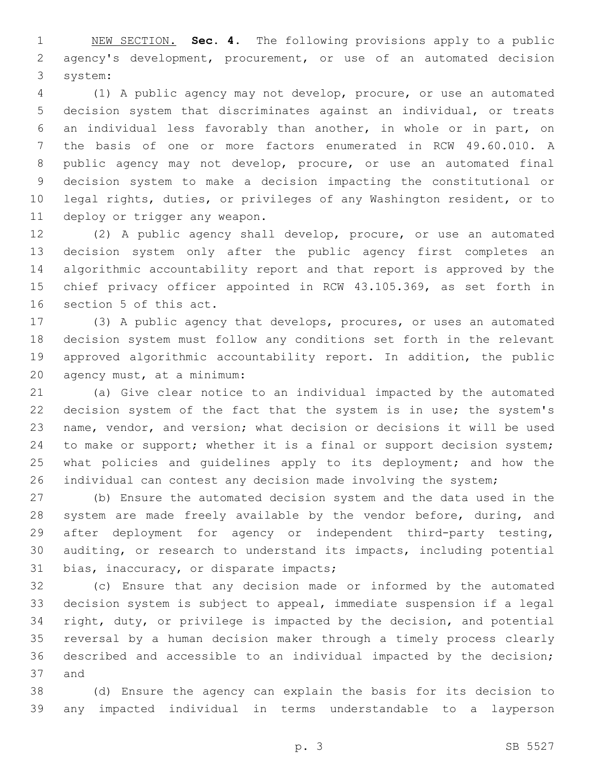NEW SECTION. **Sec. 4.** The following provisions apply to a public agency's development, procurement, or use of an automated decision system:

 (1) A public agency may not develop, procure, or use an automated decision system that discriminates against an individual, or treats an individual less favorably than another, in whole or in part, on the basis of one or more factors enumerated in RCW 49.60.010. A public agency may not develop, procure, or use an automated final decision system to make a decision impacting the constitutional or legal rights, duties, or privileges of any Washington resident, or to 11 deploy or trigger any weapon.

 (2) A public agency shall develop, procure, or use an automated decision system only after the public agency first completes an algorithmic accountability report and that report is approved by the chief privacy officer appointed in RCW 43.105.369, as set forth in 16 section 5 of this act.

 (3) A public agency that develops, procures, or uses an automated decision system must follow any conditions set forth in the relevant approved algorithmic accountability report. In addition, the public agency must, at a minimum:20

 (a) Give clear notice to an individual impacted by the automated decision system of the fact that the system is in use; the system's name, vendor, and version; what decision or decisions it will be used to make or support; whether it is a final or support decision system; 25 what policies and quidelines apply to its deployment; and how the individual can contest any decision made involving the system;

 (b) Ensure the automated decision system and the data used in the 28 system are made freely available by the vendor before, during, and after deployment for agency or independent third-party testing, auditing, or research to understand its impacts, including potential 31 bias, inaccuracy, or disparate impacts;

 (c) Ensure that any decision made or informed by the automated decision system is subject to appeal, immediate suspension if a legal right, duty, or privilege is impacted by the decision, and potential reversal by a human decision maker through a timely process clearly described and accessible to an individual impacted by the decision; 37 and

 (d) Ensure the agency can explain the basis for its decision to any impacted individual in terms understandable to a layperson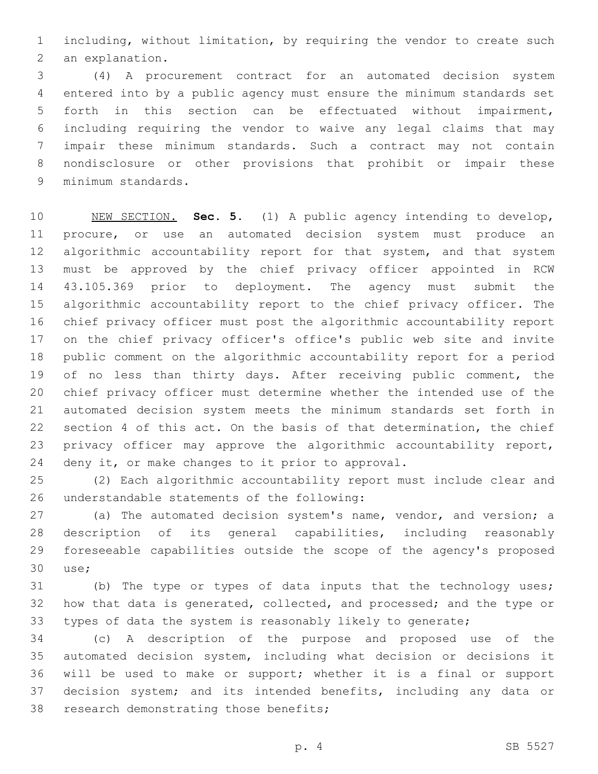including, without limitation, by requiring the vendor to create such 2 an explanation.

 (4) A procurement contract for an automated decision system entered into by a public agency must ensure the minimum standards set forth in this section can be effectuated without impairment, including requiring the vendor to waive any legal claims that may impair these minimum standards. Such a contract may not contain nondisclosure or other provisions that prohibit or impair these 9 minimum standards.

 NEW SECTION. **Sec. 5.** (1) A public agency intending to develop, procure, or use an automated decision system must produce an algorithmic accountability report for that system, and that system must be approved by the chief privacy officer appointed in RCW 43.105.369 prior to deployment. The agency must submit the algorithmic accountability report to the chief privacy officer. The chief privacy officer must post the algorithmic accountability report on the chief privacy officer's office's public web site and invite public comment on the algorithmic accountability report for a period 19 of no less than thirty days. After receiving public comment, the chief privacy officer must determine whether the intended use of the automated decision system meets the minimum standards set forth in section 4 of this act. On the basis of that determination, the chief privacy officer may approve the algorithmic accountability report, deny it, or make changes to it prior to approval.

 (2) Each algorithmic accountability report must include clear and 26 understandable statements of the following:

27 (a) The automated decision system's name, vendor, and version; a description of its general capabilities, including reasonably foreseeable capabilities outside the scope of the agency's proposed use;30

 (b) The type or types of data inputs that the technology uses; how that data is generated, collected, and processed; and the type or types of data the system is reasonably likely to generate;

 (c) A description of the purpose and proposed use of the automated decision system, including what decision or decisions it will be used to make or support; whether it is a final or support decision system; and its intended benefits, including any data or 38 research demonstrating those benefits;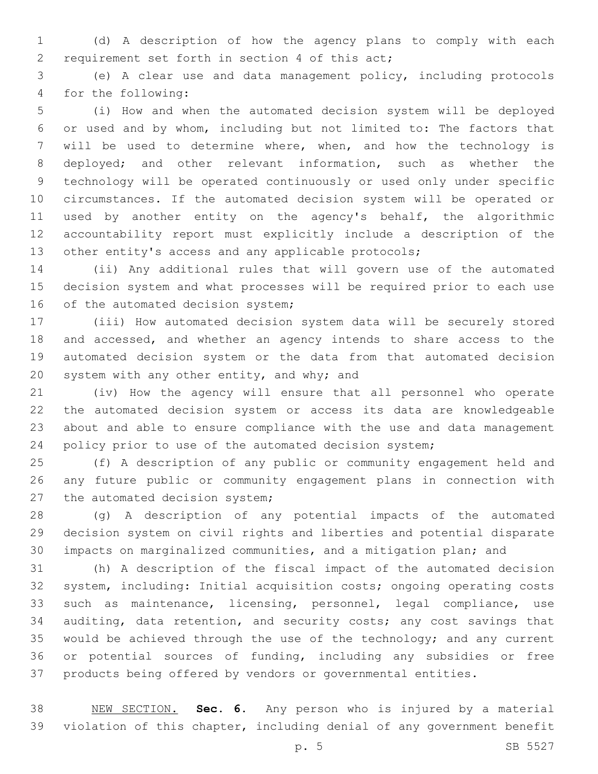(d) A description of how the agency plans to comply with each 2 requirement set forth in section 4 of this act;

 (e) A clear use and data management policy, including protocols 4 for the following:

 (i) How and when the automated decision system will be deployed or used and by whom, including but not limited to: The factors that will be used to determine where, when, and how the technology is deployed; and other relevant information, such as whether the technology will be operated continuously or used only under specific circumstances. If the automated decision system will be operated or used by another entity on the agency's behalf, the algorithmic accountability report must explicitly include a description of the other entity's access and any applicable protocols;

 (ii) Any additional rules that will govern use of the automated decision system and what processes will be required prior to each use 16 of the automated decision system;

 (iii) How automated decision system data will be securely stored and accessed, and whether an agency intends to share access to the automated decision system or the data from that automated decision 20 system with any other entity, and why; and

 (iv) How the agency will ensure that all personnel who operate the automated decision system or access its data are knowledgeable about and able to ensure compliance with the use and data management policy prior to use of the automated decision system;

 (f) A description of any public or community engagement held and any future public or community engagement plans in connection with 27 the automated decision system;

 (g) A description of any potential impacts of the automated decision system on civil rights and liberties and potential disparate impacts on marginalized communities, and a mitigation plan; and

 (h) A description of the fiscal impact of the automated decision system, including: Initial acquisition costs; ongoing operating costs such as maintenance, licensing, personnel, legal compliance, use auditing, data retention, and security costs; any cost savings that 35 would be achieved through the use of the technology; and any current or potential sources of funding, including any subsidies or free products being offered by vendors or governmental entities.

 NEW SECTION. **Sec. 6.** Any person who is injured by a material violation of this chapter, including denial of any government benefit